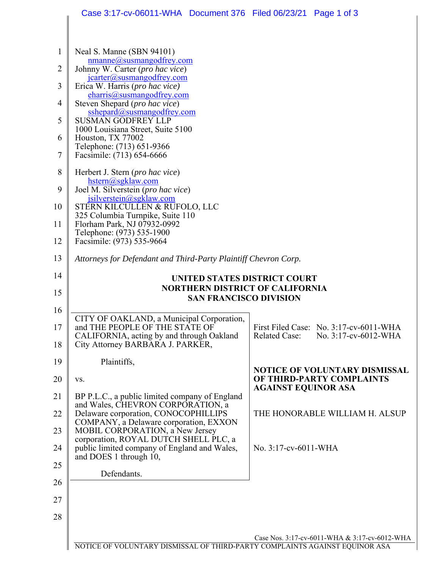|                | Case 3:17-cv-06011-WHA  Document 376  Filed 06/23/21  Page 1 of 3                                        |                                                                                                 |
|----------------|----------------------------------------------------------------------------------------------------------|-------------------------------------------------------------------------------------------------|
|                |                                                                                                          |                                                                                                 |
| $\mathbf{1}$   | Neal S. Manne (SBN 94101)<br>nmanne@susmangodfrey.com                                                    |                                                                                                 |
| $\overline{2}$ | Johnny W. Carter (pro hac vice)<br>jcarter@susmangodfrey.com                                             |                                                                                                 |
| 3              | Erica W. Harris (pro hac vice)<br>charris@susmangodfrey.com                                              |                                                                                                 |
| 4              | Steven Shepard (pro hac vice)<br>sshepard@susmangodfrey.com                                              |                                                                                                 |
| 5              | <b>SUSMAN GODFREY LLP</b><br>1000 Louisiana Street, Suite 5100                                           |                                                                                                 |
| 6              | Houston, TX 77002<br>Telephone: (713) 651-9366                                                           |                                                                                                 |
| $\tau$         | Facsimile: (713) 654-6666                                                                                |                                                                                                 |
| 8<br>9         | Herbert J. Stern ( <i>pro hac vice</i> )<br>$hstern(a)$ sgklaw.com<br>Joel M. Silverstein (pro hac vice) |                                                                                                 |
| 10             | jsilverstein@sgklaw.com<br>STERN KILCULLEN & RUFOLO, LLC                                                 |                                                                                                 |
| 11             | 325 Columbia Turnpike, Suite 110<br>Florham Park, NJ 07932-0992                                          |                                                                                                 |
| 12             | Telephone: (973) 535-1900<br>Facsimile: (973) 535-9664                                                   |                                                                                                 |
| 13             | Attorneys for Defendant and Third-Party Plaintiff Chevron Corp.                                          |                                                                                                 |
| 14             | UNITED STATES DISTRICT COURT                                                                             |                                                                                                 |
| 15             | <b>NORTHERN DISTRICT OF CALIFORNIA</b><br><b>SAN FRANCISCO DIVISION</b>                                  |                                                                                                 |
| 16             |                                                                                                          |                                                                                                 |
| 17             | CITY OF OAKLAND, a Municipal Corporation,<br>and THE PEOPLE OF THE STATE OF                              | First Filed Case: No. 3:17-cv-6011-WHA                                                          |
| 18             | CALIFORNIA, acting by and through Oakland<br>City Attorney BARBARA J. PARKER,                            | Related Case: No. 3:17-cv-6012-WHA                                                              |
| 19             | Plaintiffs,                                                                                              |                                                                                                 |
| 20             | VS.                                                                                                      | <b>NOTICE OF VOLUNTARY DISMISSAL</b><br>OF THIRD-PARTY COMPLAINTS<br><b>AGAINST EQUINOR ASA</b> |
| 21             | BP P.L.C., a public limited company of England<br>and Wales, CHEVRON CORPORATION, a                      |                                                                                                 |
| 22             | Delaware corporation, CONOCOPHILLIPS<br>COMPANY, a Delaware corporation, EXXON                           | THE HONORABLE WILLIAM H. ALSUP                                                                  |
| 23             | MOBIL CORPORATION, a New Jersey<br>corporation, ROYAL DUTCH SHELL PLC, a                                 |                                                                                                 |
| 24             | public limited company of England and Wales,<br>and DOES 1 through 10,                                   | No. 3:17-cv-6011-WHA                                                                            |
| 25             | Defendants.                                                                                              |                                                                                                 |
| 26             |                                                                                                          |                                                                                                 |
| 27             |                                                                                                          |                                                                                                 |
| 28             |                                                                                                          |                                                                                                 |
|                |                                                                                                          | Case Nos. 3:17-cv-6011-WHA & 3:17-cv-6012-WHA                                                   |

NOTICE OF VOLUNTARY DISMISSAL OF THIRD-PARTY COMPLAINTS AGAINST EQUINOR ASA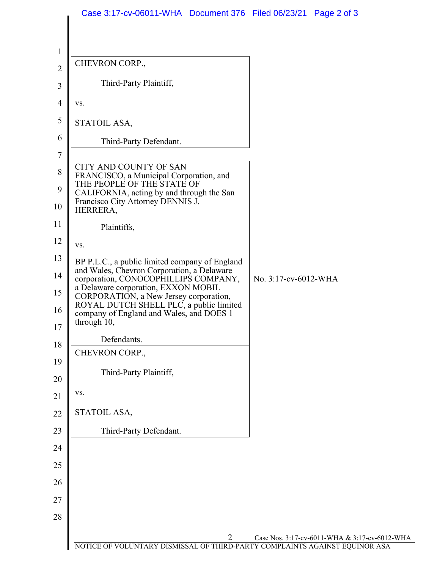|                          | Case 3:17-cv-06011-WHA Document 376 Filed 06/23/21 Page 2 of 3                                  |                                               |
|--------------------------|-------------------------------------------------------------------------------------------------|-----------------------------------------------|
|                          |                                                                                                 |                                               |
| $\mathbf{1}$             |                                                                                                 |                                               |
| $\overline{c}$           | CHEVRON CORP.,                                                                                  |                                               |
| 3                        | Third-Party Plaintiff,                                                                          |                                               |
| $\overline{\mathcal{A}}$ | VS.                                                                                             |                                               |
| 5                        | STATOIL ASA,                                                                                    |                                               |
| 6                        | Third-Party Defendant.                                                                          |                                               |
| $\overline{7}$           |                                                                                                 |                                               |
| 8<br>9                   | CITY AND COUNTY OF SAN<br>FRANCISCO, a Municipal Corporation, and<br>THE PEOPLE OF THE STATE OF |                                               |
| 10                       | CALIFORNIA, acting by and through the San<br>Francisco City Attorney DENNIS J.<br>HERRERA,      |                                               |
| 11                       | Plaintiffs,                                                                                     |                                               |
| 12                       | VS.                                                                                             |                                               |
| 13                       | BP P.L.C., a public limited company of England<br>and Wales, Chevron Corporation, a Delaware    |                                               |
| 14                       | corporation, CONOCOPHILLIPS COMPANY,<br>a Delaware corporation, EXXON MOBIL                     | No. 3:17-cv-6012-WHA                          |
| 15                       | CORPORATION, a New Jersey corporation,<br>ROYAL DUTCH SHELL PLC, a public limited               |                                               |
| 16                       | company of England and Wales, and DOES 1<br>through 10,                                         |                                               |
| 17<br>18                 | Defendants.                                                                                     |                                               |
| 19                       | CHEVRON CORP.,                                                                                  |                                               |
| 20                       | Third-Party Plaintiff,                                                                          |                                               |
| 21                       | VS.                                                                                             |                                               |
| 22                       | STATOIL ASA,                                                                                    |                                               |
| 23                       | Third-Party Defendant.                                                                          |                                               |
| 24                       |                                                                                                 |                                               |
| 25                       |                                                                                                 |                                               |
| 26                       |                                                                                                 |                                               |
| 27                       |                                                                                                 |                                               |
| 28                       |                                                                                                 |                                               |
|                          | 2                                                                                               | Case Nos. 3:17-cv-6011-WHA & 3:17-cv-6012-WHA |
|                          | NOTICE OF VOLUNTARY DISMISSAL OF THIRD-PARTY COMPLAINTS AGAINST EQUINOR ASA                     |                                               |